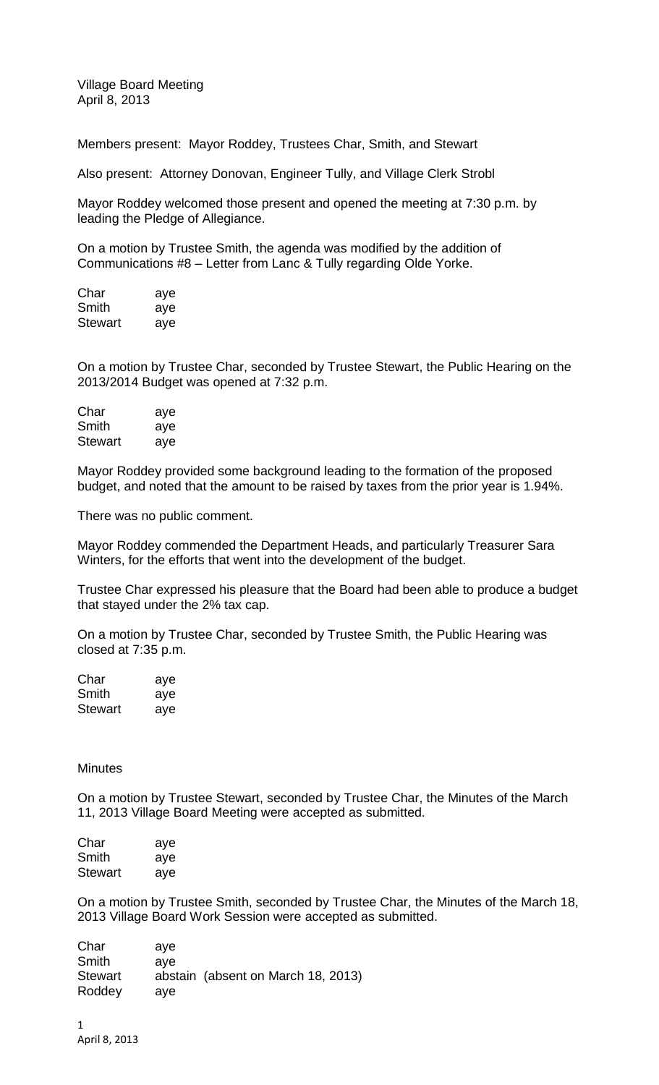Village Board Meeting April 8, 2013

Members present: Mayor Roddey, Trustees Char, Smith, and Stewart

Also present: Attorney Donovan, Engineer Tully, and Village Clerk Strobl

Mayor Roddey welcomed those present and opened the meeting at 7:30 p.m. by leading the Pledge of Allegiance.

On a motion by Trustee Smith, the agenda was modified by the addition of Communications #8 – Letter from Lanc & Tully regarding Olde Yorke.

| Char    | aye |
|---------|-----|
| Smith   | aye |
| Stewart | aye |

On a motion by Trustee Char, seconded by Trustee Stewart, the Public Hearing on the 2013/2014 Budget was opened at 7:32 p.m.

| Char    | aye |
|---------|-----|
| Smith   | aye |
| Stewart | aye |

Mayor Roddey provided some background leading to the formation of the proposed budget, and noted that the amount to be raised by taxes from the prior year is 1.94%.

There was no public comment.

Mayor Roddey commended the Department Heads, and particularly Treasurer Sara Winters, for the efforts that went into the development of the budget.

Trustee Char expressed his pleasure that the Board had been able to produce a budget that stayed under the 2% tax cap.

On a motion by Trustee Char, seconded by Trustee Smith, the Public Hearing was closed at 7:35 p.m.

| Char           | aye |
|----------------|-----|
| Smith          | aye |
| <b>Stewart</b> | aye |

## **Minutes**

On a motion by Trustee Stewart, seconded by Trustee Char, the Minutes of the March 11, 2013 Village Board Meeting were accepted as submitted.

| Char    | aye |
|---------|-----|
| Smith   | aye |
| Stewart | aye |

On a motion by Trustee Smith, seconded by Trustee Char, the Minutes of the March 18, 2013 Village Board Work Session were accepted as submitted.

Char aye Smith aye Stewart abstain (absent on March 18, 2013) Roddey aye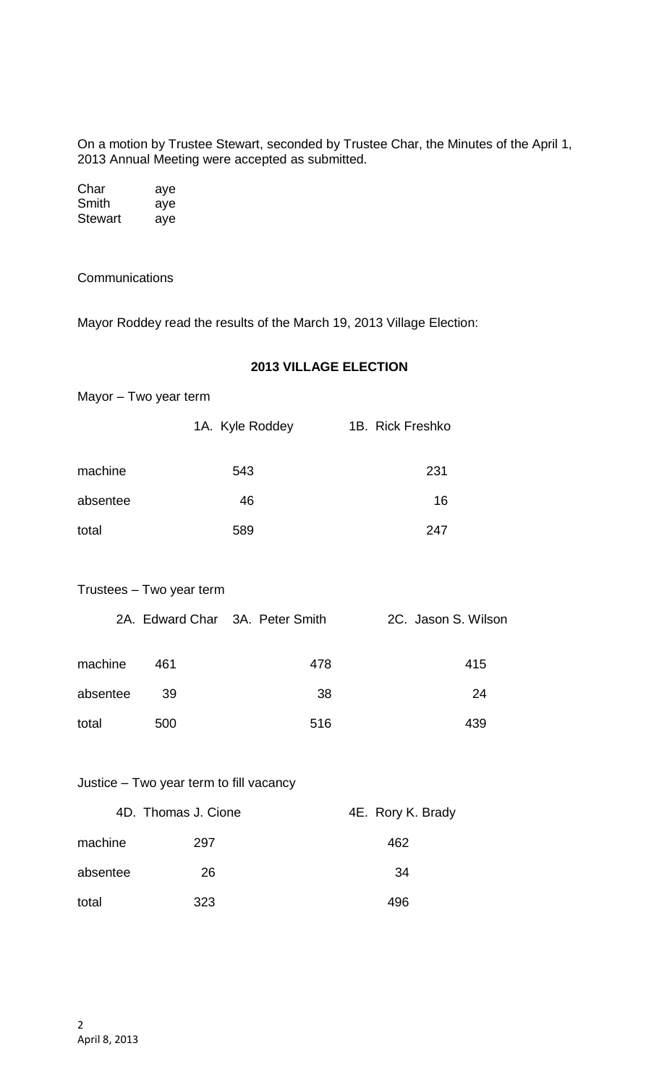On a motion by Trustee Stewart, seconded by Trustee Char, the Minutes of the April 1, 2013 Annual Meeting were accepted as submitted.

| Char    | aye |
|---------|-----|
| Smith   | aye |
| Stewart | aye |

**Communications** 

Mayor Roddey read the results of the March 19, 2013 Village Election:

## **2013 VILLAGE ELECTION**

| Mayor – Two year term |                 |                  |
|-----------------------|-----------------|------------------|
|                       | 1A. Kyle Roddey | 1B. Rick Freshko |
| machine               | 543             | 231              |
| absentee              | 46              | 16               |

total 589 247

| Trustees - Two year term |  |  |  |
|--------------------------|--|--|--|
|--------------------------|--|--|--|

|          |     | 2A. Edward Char 3A. Peter Smith | 2C. Jason S. Wilson |
|----------|-----|---------------------------------|---------------------|
| machine  | 461 | 478                             | 415                 |
| absentee | -39 | 38                              | 24                  |
| total    | 500 | 516                             | 439                 |

## Justice – Two year term to fill vacancy

|          | 4D. Thomas J. Cione | 4E. Rory K. Brady |
|----------|---------------------|-------------------|
| machine  | 297                 | 462               |
| absentee | 26                  | 34                |
| total    | 323                 | 496               |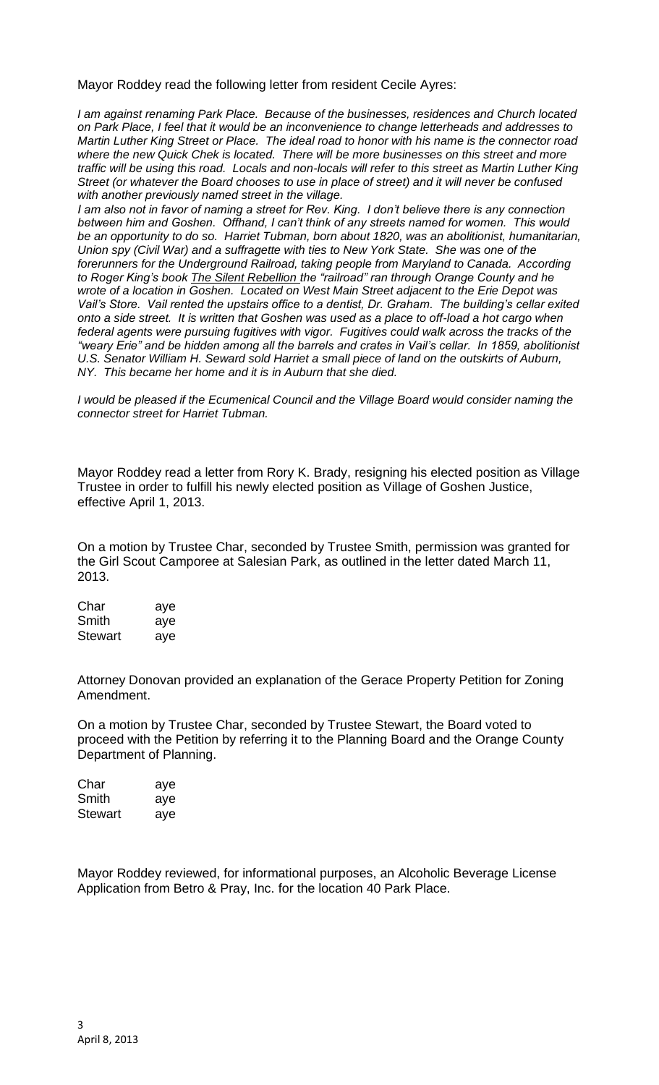Mayor Roddey read the following letter from resident Cecile Ayres:

*I am against renaming Park Place. Because of the businesses, residences and Church located on Park Place, I feel that it would be an inconvenience to change letterheads and addresses to Martin Luther King Street or Place. The ideal road to honor with his name is the connector road where the new Quick Chek is located. There will be more businesses on this street and more traffic will be using this road. Locals and non-locals will refer to this street as Martin Luther King Street (or whatever the Board chooses to use in place of street) and it will never be confused with another previously named street in the village.*

*I am also not in favor of naming a street for Rev. King. I don't believe there is any connection between him and Goshen. Offhand, I can't think of any streets named for women. This would be an opportunity to do so. Harriet Tubman, born about 1820, was an abolitionist, humanitarian, Union spy (Civil War) and a suffragette with ties to New York State. She was one of the forerunners for the Underground Railroad, taking people from Maryland to Canada. According to Roger King's book The Silent Rebellion the "railroad" ran through Orange County and he wrote of a location in Goshen. Located on West Main Street adjacent to the Erie Depot was Vail's Store. Vail rented the upstairs office to a dentist, Dr. Graham. The building's cellar exited onto a side street. It is written that Goshen was used as a place to off-load a hot cargo when*  federal agents were pursuing fugitives with vigor. Fugitives could walk across the tracks of the *"weary Erie" and be hidden among all the barrels and crates in Vail's cellar. In 1859, abolitionist U.S. Senator William H. Seward sold Harriet a small piece of land on the outskirts of Auburn, NY. This became her home and it is in Auburn that she died.*

*I would be pleased if the Ecumenical Council and the Village Board would consider naming the connector street for Harriet Tubman.*

Mayor Roddey read a letter from Rory K. Brady, resigning his elected position as Village Trustee in order to fulfill his newly elected position as Village of Goshen Justice, effective April 1, 2013.

On a motion by Trustee Char, seconded by Trustee Smith, permission was granted for the Girl Scout Camporee at Salesian Park, as outlined in the letter dated March 11, 2013.

Char aye Smith aye Stewart aye

Attorney Donovan provided an explanation of the Gerace Property Petition for Zoning Amendment.

On a motion by Trustee Char, seconded by Trustee Stewart, the Board voted to proceed with the Petition by referring it to the Planning Board and the Orange County Department of Planning.

| Char           | aye |
|----------------|-----|
| Smith          | aye |
| <b>Stewart</b> | aye |

Mayor Roddey reviewed, for informational purposes, an Alcoholic Beverage License Application from Betro & Pray, Inc. for the location 40 Park Place.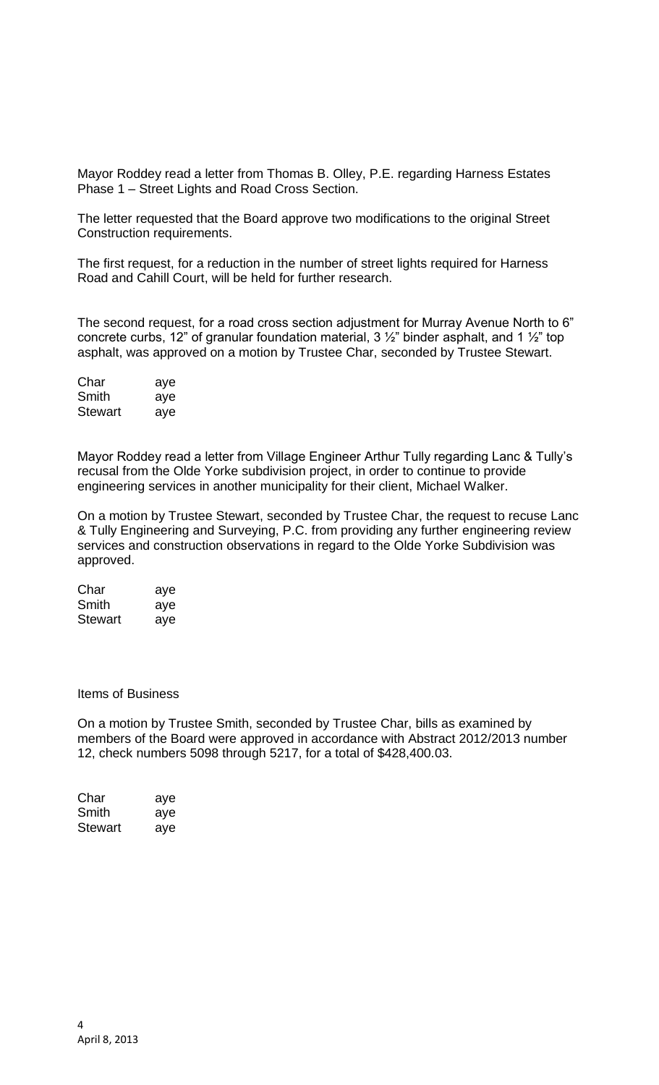Mayor Roddey read a letter from Thomas B. Olley, P.E. regarding Harness Estates Phase 1 – Street Lights and Road Cross Section.

The letter requested that the Board approve two modifications to the original Street Construction requirements.

The first request, for a reduction in the number of street lights required for Harness Road and Cahill Court, will be held for further research.

The second request, for a road cross section adjustment for Murray Avenue North to 6" concrete curbs, 12" of granular foundation material, 3 ½" binder asphalt, and 1 ½" top asphalt, was approved on a motion by Trustee Char, seconded by Trustee Stewart.

| Char    | aye |
|---------|-----|
| Smith   | aye |
| Stewart | aye |

Mayor Roddey read a letter from Village Engineer Arthur Tully regarding Lanc & Tully's recusal from the Olde Yorke subdivision project, in order to continue to provide engineering services in another municipality for their client, Michael Walker.

On a motion by Trustee Stewart, seconded by Trustee Char, the request to recuse Lanc & Tully Engineering and Surveying, P.C. from providing any further engineering review services and construction observations in regard to the Olde Yorke Subdivision was approved.

| Char    | aye |
|---------|-----|
| Smith   | aye |
| Stewart | aye |

Items of Business

On a motion by Trustee Smith, seconded by Trustee Char, bills as examined by members of the Board were approved in accordance with Abstract 2012/2013 number 12, check numbers 5098 through 5217, for a total of \$428,400.03.

| Char    | aye |
|---------|-----|
| Smith   | aye |
| Stewart | aye |